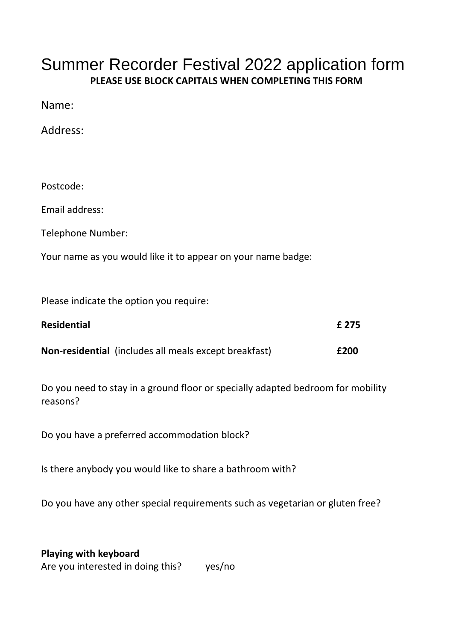## Summer Recorder Festival 2022 application form **PLEASE USE BLOCK CAPITALS WHEN COMPLETING THIS FORM**

Name:

Address:

Postcode:

Email address:

Telephone Number:

Your name as you would like it to appear on your name badge:

Please indicate the option you require:

| <b>Residential</b> |                                                              | £ 275 |
|--------------------|--------------------------------------------------------------|-------|
|                    | <b>Non-residential</b> (includes all meals except breakfast) | £200  |

Do you need to stay in a ground floor or specially adapted bedroom for mobility reasons?

Do you have a preferred accommodation block?

Is there anybody you would like to share a bathroom with?

Do you have any other special requirements such as vegetarian or gluten free?

**Playing with keyboard** Are you interested in doing this? yes/no